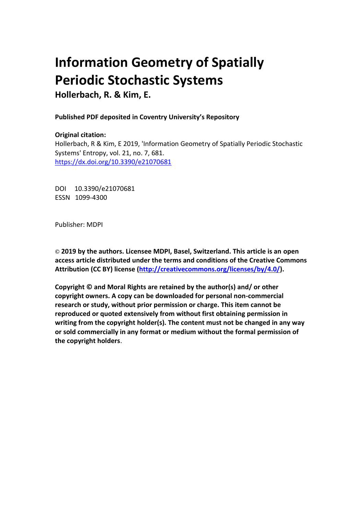# **Information Geometry of Spatially Periodic Stochastic Systems**

**Hollerbach, R. & Kim, E.**

**Published PDF deposited in Coventry University's Repository** 

## **Original citation:**

Hollerbach, R & Kim, E 2019, 'Information Geometry of Spatially Periodic Stochastic Systems' Entropy, vol. 21, no. 7, 681. https://dx.doi.org/10.3390/e21070681

DOI 10.3390/e21070681 ESSN 1099-4300

Publisher: MDPI

**© 2019 by the authors. Licensee MDPI, Basel, Switzerland. This article is an open access article distributed under the terms and conditions of the Creative Commons Attribution (CC BY) license [\(http://creativecommons.org/licenses/by/4.0/\)](http://creativecommons.org/licenses/by/4.0/).**

**Copyright © and Moral Rights are retained by the author(s) and/ or other copyright owners. A copy can be downloaded for personal non-commercial research or study, without prior permission or charge. This item cannot be reproduced or quoted extensively from without first obtaining permission in writing from the copyright holder(s). The content must not be changed in any way or sold commercially in any format or medium without the formal permission of the copyright holders**.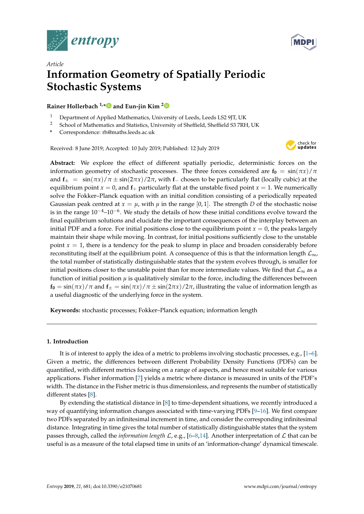



# *Article* **Information Geometry of Spatially Periodic Stochastic Systems**

### **Rainer Hollerbach 1,[\\*](https://orcid.org/0000-0001-8639-0967) and Eun-jin Kim [2](https://orcid.org/0000-0001-5607-6635)**

- <sup>1</sup> Department of Applied Mathematics, University of Leeds, Leeds LS2 9JT, UK<br><sup>2</sup> School of Mathematics and Statistics, University of Sheffield, Sheffield, S3.7PE
- <sup>2</sup> School of Mathematics and Statistics, University of Sheffield, Sheffield S3 7RH, UK
- **\*** Correspondence: rh@maths.leeds.ac.uk

Received: 8 June 2019; Accepted: 10 July 2019; Published: 12 July 2019



**Abstract:** We explore the effect of different spatially periodic, deterministic forces on the information geometry of stochastic processes. The three forces considered are  $f_0 = \frac{\sin(\pi x)}{\pi}$ and  $f_{\pm} = \sin(\pi x)/\pi \pm \sin(2\pi x)/2\pi$ , with f<sub>−</sub> chosen to be particularly flat (locally cubic) at the equilibrium point  $x = 0$ , and  $f<sub>+</sub>$  particularly flat at the unstable fixed point  $x = 1$ . We numerically solve the Fokker–Planck equation with an initial condition consisting of a periodically repeated Gaussian peak centred at  $x = \mu$ , with  $\mu$  in the range [0,1]. The strength *D* of the stochastic noise is in the range 10<sup>-4</sup>–10<sup>-6</sup>. We study the details of how these initial conditions evolve toward the final equilibrium solutions and elucidate the important consequences of the interplay between an initial PDF and a force. For initial positions close to the equilibrium point  $x = 0$ , the peaks largely maintain their shape while moving. In contrast, for initial positions sufficiently close to the unstable point  $x = 1$ , there is a tendency for the peak to slump in place and broaden considerably before reconstituting itself at the equilibrium point. A consequence of this is that the information length  $\mathcal{L}_{\infty}$ , the total number of statistically distinguishable states that the system evolves through, is smaller for initial positions closer to the unstable point than for more intermediate values. We find that  $\mathcal{L}_{\infty}$  as a function of initial position  $\mu$  is qualitatively similar to the force, including the differences between  $f_0 = \sin(\pi x)/\pi$  and  $f_{\pm} = \sin(\pi x)/\pi \pm \sin(2\pi x)/2\pi$ , illustrating the value of information length as a useful diagnostic of the underlying force in the system.

**Keywords:** stochastic processes; Fokker–Planck equation; information length

#### **1. Introduction**

It is of interest to apply the idea of a metric to problems involving stochastic processes, e.g., [\[1–](#page-11-0)[6\]](#page-11-1). Given a metric, the differences between different Probability Density Functions (PDFs) can be quantified, with different metrics focusing on a range of aspects, and hence most suitable for various applications. Fisher information [\[7\]](#page-11-2) yields a metric where distance is measured in units of the PDF's width. The distance in the Fisher metric is thus dimensionless, and represents the number of statistically different states [\[8\]](#page-11-3).

By extending the statistical distance in [\[8\]](#page-11-3) to time-dependent situations, we recently introduced a way of quantifying information changes associated with time-varying PDFs [\[9](#page-11-4)[–16\]](#page-11-5). We first compare two PDFs separated by an infinitesimal increment in time, and consider the corresponding infinitesimal distance. Integrating in time gives the total number of statistically distinguishable states that the system passes through, called the *information length* L, e.g., [\[6](#page-11-1)[–8,](#page-11-3)[14\]](#page-11-6). Another interpretation of L that can be useful is as a measure of the total elapsed time in units of an 'information-change' dynamical timescale.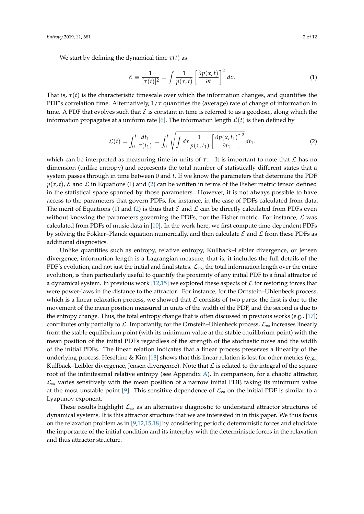We start by defining the dynamical time  $\tau(t)$  as

<span id="page-2-0"></span>
$$
\mathcal{E} \equiv \frac{1}{[\tau(t)]^2} = \int \frac{1}{p(x,t)} \left[ \frac{\partial p(x,t)}{\partial t} \right]^2 dx.
$$
 (1)

That is,  $\tau(t)$  is the characteristic timescale over which the information changes, and quantifies the PDF's correlation time. Alternatively,  $1/\tau$  quantifies the (average) rate of change of information in time. A PDF that evolves such that  $\mathcal E$  is constant in time is referred to as a geodesic, along which the information propagates at a uniform rate [\[6\]](#page-11-1). The information length  $\mathcal{L}(t)$  is then defined by

<span id="page-2-1"></span>
$$
\mathcal{L}(t) = \int_0^t \frac{dt_1}{\tau(t_1)} = \int_0^t \sqrt{\int dx \frac{1}{p(x, t_1)} \left[\frac{\partial p(x, t_1)}{\partial t_1}\right]^2} dt_1.
$$
 (2)

which can be interpreted as measuring time in units of  $\tau$ . It is important to note that  $\mathcal L$  has no dimension (unlike entropy) and represents the total number of statistically different states that a system passes through in time between 0 and *t*. If we know the parameters that determine the PDF  $p(x, t)$ ,  $\mathcal E$  and  $\mathcal L$  in Equations [\(1\)](#page-2-0) and [\(2\)](#page-2-1) can be written in terms of the Fisher metric tensor defined in the statistical space spanned by those parameters. However, it is not always possible to have access to the parameters that govern PDFs, for instance, in the case of PDFs calculated from data. The merit of Equations [\(1\)](#page-2-0) and [\(2\)](#page-2-1) is thus that  $\mathcal E$  and  $\mathcal L$  can be directly calculated from PDFs even without knowing the parameters governing the PDFs, nor the Fisher metric. For instance,  $\mathcal{L}$  was calculated from PDFs of music data in [\[10\]](#page-11-7). In the work here, we first compute time-dependent PDFs by solving the Fokker–Planck equation numerically, and then calculate  $\mathcal E$  and  $\mathcal L$  from these PDFs as additional diagnostics.

Unlike quantities such as entropy, relative entropy, Kullback–Leibler divergence, or Jensen divergence, information length is a Lagrangian measure, that is, it includes the full details of the PDF's evolution, and not just the initial and final states.  $\mathcal{L}_{\infty}$ , the total information length over the entire evolution, is then particularly useful to quantify the proximity of any initial PDF to a final attractor of a dynamical system. In previous work [\[12,](#page-11-8)[15\]](#page-11-9) we explored these aspects of  $\mathcal L$  for restoring forces that were power-laws in the distance to the attractor. For instance, for the Ornstein–Uhlenbeck process, which is a linear relaxation process, we showed that  $\mathcal L$  consists of two parts: the first is due to the movement of the mean position measured in units of the width of the PDF, and the second is due to the entropy change. Thus, the total entropy change that is often discussed in previous works (e.g., [\[17\]](#page-11-10)) contributes only partially to L. Importantly, for the Ornstein–Uhlenbeck process,  $\mathcal{L}_{\infty}$  increases linearly from the stable equilibrium point (with its minimum value at the stable equilibrium point) with the mean position of the initial PDFs regardless of the strength of the stochastic noise and the width of the initial PDFs. The linear relation indicates that a linear process preserves a linearity of the underlying process. Heseltine & Kim [\[18\]](#page-11-11) shows that this linear relation is lost for other metrics (e.g., Kullback–Leibler divergence, Jensen divergence). Note that  $\mathcal L$  is related to the integral of the square root of the infinitesimal relative entropy (see Appendix [A\)](#page-10-0). In comparison, for a chaotic attractor,  $\mathcal{L}_{\infty}$  varies sensitively with the mean position of a narrow initial PDF, taking its minimum value at the most unstable point [\[9\]](#page-11-4). This sensitive dependence of  $\mathcal{L}_{\infty}$  on the initial PDF is similar to a Lyapunov exponent.

These results highlight  $\mathcal{L}_{\infty}$  as an alternative diagnostic to understand attractor structures of dynamical systems. It is this attractor structure that we are interested in in this paper. We thus focus on the relaxation problem as in [\[9,](#page-11-4)[12,](#page-11-8)[15,](#page-11-9)[18\]](#page-11-11) by considering periodic deterministic forces and elucidate the importance of the initial condition and its interplay with the deterministic forces in the relaxation and thus attractor structure.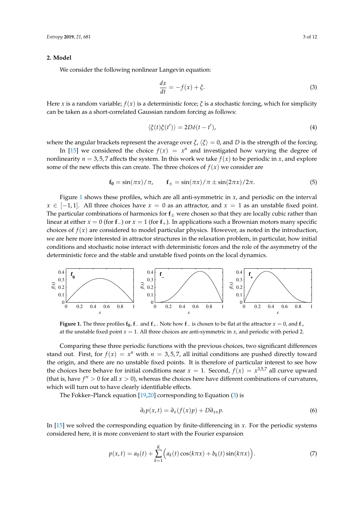#### **2. Model**

We consider the following nonlinear Langevin equation:

<span id="page-3-1"></span>
$$
\frac{dx}{dt} = -f(x) + \xi.
$$
\n(3)

Here *x* is a random variable;  $f(x)$  is a deterministic force;  $\zeta$  is a stochastic forcing, which for simplicity can be taken as a short-correlated Gaussian random forcing as follows:

$$
\langle \xi(t)\xi(t')\rangle = 2D\delta(t-t'),\tag{4}
$$

where the angular brackets represent the average over  $\xi$ ,  $\langle \xi \rangle = 0$ , and *D* is the strength of the forcing.

In [\[15\]](#page-11-9) we considered the choice  $f(x) = x^n$  and investigated how varying the degree of nonlinearity  $n = 3.5.7$  affects the system. In this work we take  $f(x)$  to be periodic in *x*, and explore some of the new effects this can create. The three choices of  $f(x)$  we consider are

$$
\mathbf{f}_0 = \sin(\pi x)/\pi, \qquad \mathbf{f}_\pm = \sin(\pi x)/\pi \pm \sin(2\pi x)/2\pi. \tag{5}
$$

Figure [1](#page-3-0) shows these profiles, which are all anti-symmetric in *x*, and periodic on the interval *x* ∈ [−1, 1]. All three choices have  $x = 0$  as an attractor, and  $x = 1$  as an unstable fixed point. The particular combinations of harmonics for  $f_{\pm}$  were chosen so that they are locally cubic rather than linear at either  $x = 0$  (for **f**<sub>−</sub>) or  $x = 1$  (for **f**<sub>+</sub>). In applications such a Brownian motors many specific choices of  $f(x)$  are considered to model particular physics. However, as noted in the introduction, we are here more interested in attractor structures in the relaxation problem, in particular, how initial conditions and stochastic noise interact with deterministic forces and the role of the asymmetry of the deterministic force and the stable and unstable fixed points on the local dynamics.

<span id="page-3-0"></span>

**Figure 1.** The three profiles  $f_0$ ,  $f_-\$  and  $f_+\$ . Note how  $f_-\$  is chosen to be flat at the attractor  $x = 0$ , and  $f_+\$ at the unstable fixed point  $x = 1$ . All three choices are anti-symmetric in  $x$ , and periodic with period 2.

Comparing these three periodic functions with the previous choices, two significant differences stand out. First, for  $f(x) = x^n$  with  $n = 3, 5, 7$ , all initial conditions are pushed directly toward the origin, and there are no unstable fixed points. It is therefore of particular interest to see how the choices here behave for initial conditions near  $x = 1$ . Second,  $f(x) = x^{3.5.7}$  all curve upward (that is, have  $f'' > 0$  for all  $x > 0$ ), whereas the choices here have different combinations of curvatures, which will turn out to have clearly identifiable effects.

The Fokker–Planck equation [\[19,](#page-11-12)[20\]](#page-11-13) corresponding to Equation [\(3\)](#page-3-1) is

$$
\partial_t p(x, t) = \partial_x (f(x)p) + D \partial_{xx} p. \tag{6}
$$

In [\[15\]](#page-11-9) we solved the corresponding equation by finite-differencing in *x*. For the periodic systems considered here, it is more convenient to start with the Fourier expansion

$$
p(x,t) = a_0(t) + \sum_{k=1}^{K} \Big( a_k(t) \cos(k\pi x) + b_k(t) \sin(k\pi x) \Big). \tag{7}
$$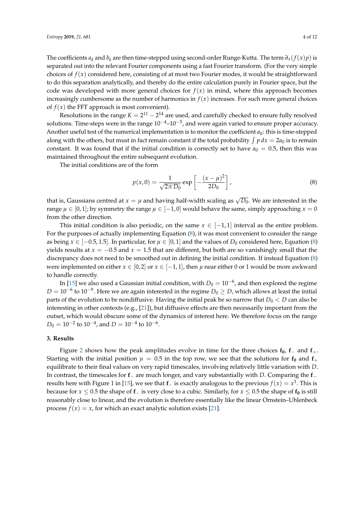The coefficients  $a_k$  and  $b_k$  are then time-stepped using second-order Runge-Kutta. The term  $\partial_x(f(x)p)$  is separated out into the relevant Fourier components using a fast Fourier transform. (For the very simple choices of  $f(x)$  considered here, consisting of at most two Fourier modes, it would be straightforward to do this separation analytically, and thereby do the entire calculation purely in Fourier space, but the code was developed with more general choices for  $f(x)$  in mind, where this approach becomes increasingly cumbersome as the number of harmonics in  $f(x)$  increases. For such more general choices of  $f(x)$  the FFT approach is most convenient).

Resolutions in the range  $K = 2^{11} - 2^{14}$  are used, and carefully checked to ensure fully resolved solutions. Time-steps were in the range  $10^{-4}$ – $10^{-5}$ , and were again varied to ensure proper accuracy. Another useful test of the numerical implementation is to monitor the coefficient  $a_0$ : this is time-stepped along with the others, but must in fact remain constant if the total probability  $\int p dx = 2a_0$  is to remain constant. It was found that if the initial condition is correctly set to have  $a_0 = 0.5$ , then this was maintained throughout the entire subsequent evolution.

The initial conditions are of the form

<span id="page-4-0"></span>
$$
p(x,0) = \frac{1}{\sqrt{2\pi D_0}} \exp\left[-\frac{(x-\mu)^2}{2D_0}\right],
$$
 (8)

that is, Gaussians centred at  $x=\mu$  and having half-width scaling as  $\sqrt{D_0}.$  We are interested in the range  $\mu \in [0,1]$ ; by symmetry the range  $\mu \in [-1,0]$  would behave the same, simply approaching  $x = 0$ from the other direction.

This initial condition is also periodic, on the same  $x \in [-1,1]$  interval as the entire problem. For the purposes of actually implementing Equation [\(8\)](#page-4-0), it was most convenient to consider the range as being  $x \in [-0.5, 1.5]$ . In particular, for  $\mu \in [0, 1]$  and the values of  $D_0$  considered here, Equation [\(8\)](#page-4-0) yields results at *x* = −0.5 and *x* = 1.5 that are different, but both are so vanishingly small that the discrepancy does not need to be smoothed out in defining the initial condition. If instead Equation [\(8\)](#page-4-0) were implemented on either  $x \in [0,2]$  or  $x \in [-1,1]$ , then  $\mu$  near either 0 or 1 would be more awkward to handle correctly.

In [\[15\]](#page-11-9) we also used a Gaussian initial condition, with  $D_0 = 10^{-6}$ , and then explored the regime  $D = 10^{-6}$  to  $10^{-9}$ . Here we are again interested in the regime  $D_0 \geq D$ , which allows at least the initial parts of the evolution to be nondiffusive. Having the initial peak be so narrow that  $D_0 < D$  can also be interesting in other contexts (e.g., [\[21\]](#page-12-0)), but diffusive effects are then necessarily important from the outset, which would obscure some of the dynamics of interest here. We therefore focus on the range  $D_0 = 10^{-2}$  to  $10^{-4}$ , and  $D = 10^{-4}$  to  $10^{-6}$ .

#### **3. Results**

Figure [2](#page-5-0) shows how the peak amplitudes evolve in time for the three choices **f0**, **f**− and **f**+. Starting with the initial position  $\mu = 0.5$  in the top row, we see that the solutions for  $f_0$  and  $f_+$ equilibrate to their final values on very rapid timescales, involving relatively little variation with *D*. In contrast, the timescales for **f**− are much longer, and vary substantially with *D*. Comparing the **f**− results here with Figure 1 in [\[15\]](#page-11-9), we see that **f**− is exactly analogous to the previous *f*(*x*) = *x* 3 . This is because for  $x \leq 0.5$  the shape of  $f$ <sup>−</sup> is very close to a cubic. Similarly, for  $x \leq 0.5$  the shape of  $f_0$  is still reasonably close to linear, and the evolution is therefore essentially like the linear Ornstein–Uhlenbeck process  $f(x) = x$ , for which an exact analytic solution exists [\[21\]](#page-12-0).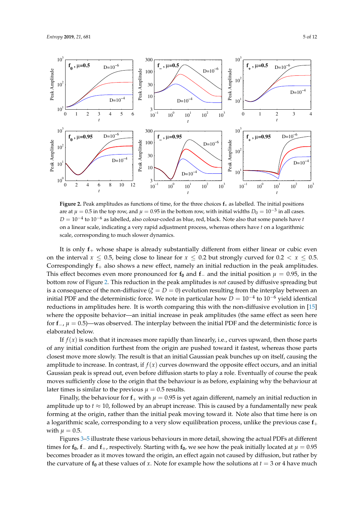<span id="page-5-0"></span>

**Figure 2.** Peak amplitudes as functions of time, for the three choices **f**∗ as labelled. The initial positions are at  $\mu=0.5$  in the top row, and  $\mu=0.95$  in the bottom row, with initial widths  $D_0=10^{-3}$  in all cases. *D* = 10−<sup>4</sup> to 10−<sup>6</sup> as labelled, also colour-coded as blue, red, black. Note also that some panels have *t* on a linear scale, indicating a very rapid adjustment process, whereas others have *t* on a logarithmic scale, corresponding to much slower dynamics.

It is only **f**+ whose shape is already substantially different from either linear or cubic even on the interval  $x \leq 0.5$ , being close to linear for  $x \leq 0.2$  but strongly curved for  $0.2 < x \leq 0.5$ . Correspondingly  $f_+$  also shows a new effect, namely an initial reduction in the peak amplitudes. This effect becomes even more pronounced for  $f_0$  and  $f_-\$  and the initial position  $\mu = 0.95$ , in the bottom row of Figure [2.](#page-5-0) This reduction in the peak amplitudes is *not* caused by diffusive spreading but is a consequence of the non-diffusive  $(\xi = D = 0)$  evolution resulting from the interplay between an initial PDF and the deterministic force. We note in particular how  $D = 10^{-4}$  to  $10^{-6}$  yield identical reductions in amplitudes here. It is worth comparing this with the non-diffusive evolution in [\[15\]](#page-11-9) where the opposite behavior—an initial increase in peak amplitudes (the same effect as seen here for **f**−, *µ* = 0.5)—was observed. The interplay between the initial PDF and the deterministic force is elaborated below.

If  $f(x)$  is such that it increases more rapidly than linearly, i.e., curves upward, then those parts of any initial condition furthest from the origin are pushed toward it fastest, whereas those parts closest move more slowly. The result is that an initial Gaussian peak bunches up on itself, causing the amplitude to increase. In contrast, if  $f(x)$  curves downward the opposite effect occurs, and an initial Gaussian peak is spread out, even before diffusion starts to play a role. Eventually of course the peak moves sufficiently close to the origin that the behaviour is as before, explaining why the behaviour at later times is similar to the previous  $\mu = 0.5$  results.

Finally, the behaviour for  $f_+$  with  $\mu = 0.95$  is yet again different, namely an initial reduction in amplitude up to  $t \approx 10$ , followed by an abrupt increase. This is caused by a fundamentally new peak forming at the origin, rather than the initial peak moving toward it. Note also that time here is on a logarithmic scale, corresponding to a very slow equilibration process, unlike the previous case **f**+ with  $\mu = 0.5$ .

Figures [3–](#page-6-0)[5](#page-7-0) illustrate these various behaviours in more detail, showing the actual PDFs at different times for  $f_0$ ,  $f_-\$  and  $f_+$ , respectively. Starting with  $f_0$ , we see how the peak initially located at  $\mu = 0.95$ becomes broader as it moves toward the origin, an effect again not caused by diffusion, but rather by the curvature of  $f_0$  at these values of *x*. Note for example how the solutions at  $t = 3$  or 4 have much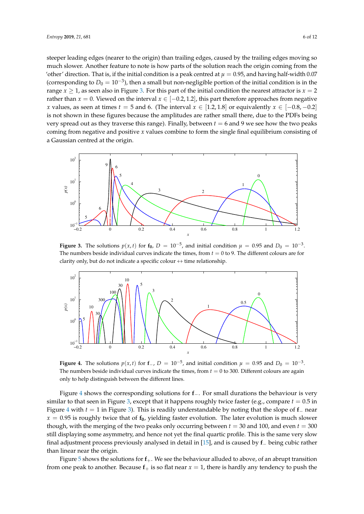steeper leading edges (nearer to the origin) than trailing edges, caused by the trailing edges moving so much slower. Another feature to note is how parts of the solution reach the origin coming from the 'other' direction. That is, if the initial condition is a peak centred at  $\mu = 0.95$ , and having half-width 0.07 (corresponding to  $D_0 = 10^{-3}$ ), then a small but non-negligible portion of the initial condition is in the range  $x \ge 1$ , as seen also in Figure [3.](#page-6-0) For this part of the initial condition the nearest attractor is  $x = 2$ rather than *x* = 0. Viewed on the interval  $x \in [-0.2, 1.2]$ , this part therefore approaches from negative *x* values, as seen at times  $t = 5$  and 6. (The interval  $x \in [1.2, 1.8]$  or equivalently  $x \in [-0.8, -0.2]$ is not shown in these figures because the amplitudes are rather small there, due to the PDFs being very spread out as they traverse this range). Finally, between  $t = 6$  and 9 we see how the two peaks coming from negative and positive *x* values combine to form the single final equilibrium consisting of a Gaussian centred at the origin.

<span id="page-6-0"></span>

**Figure 3.** The solutions  $p(x,t)$  for  $f_0$ ,  $D = 10^{-5}$ , and initial condition  $\mu = 0.95$  and  $D_0 = 10^{-3}$ . The numbers beside individual curves indicate the times, from  $t = 0$  to 9. The different colours are for clarity only, but do not indicate a specific colour  $\leftrightarrow$  time relationship.

<span id="page-6-1"></span>

**Figure 4.** The solutions  $p(x, t)$  for **f**−,  $D = 10^{-5}$ , and initial condition  $\mu = 0.95$  and  $D_0 = 10^{-3}$ . The numbers beside individual curves indicate the times, from  $t = 0$  to 300. Different colours are again only to help distinguish between the different lines.

Figure [4](#page-6-1) shows the corresponding solutions for **f**−. For small durations the behaviour is very similar to that seen in Figure [3,](#page-6-0) except that it happens roughly twice faster (e.g., compare  $t = 0.5$  in Figure [4](#page-6-1) with *t* = 1 in Figure [3\)](#page-6-0). This is readily understandable by noting that the slope of **f**− near  $x = 0.95$  is roughly twice that of  $f_0$ , yielding faster evolution. The later evolution is much slower though, with the merging of the two peaks only occurring between  $t = 30$  and 100, and even  $t = 300$ still displaying some asymmetry, and hence not yet the final quartic profile. This is the same very slow final adjustment process previously analysed in detail in [\[15\]](#page-11-9), and is caused by **f**− being cubic rather than linear near the origin.

Figure [5](#page-7-0) shows the solutions for **f**+. We see the behaviour alluded to above, of an abrupt transition from one peak to another. Because  $f_+$  is so flat near  $x = 1$ , there is hardly any tendency to push the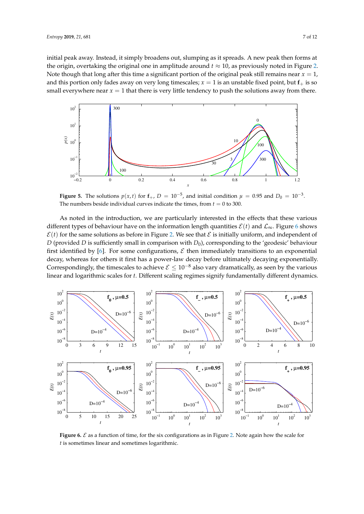initial peak away. Instead, it simply broadens out, slumping as it spreads. A new peak then forms at the origin, overtaking the original one in amplitude around  $t \approx 10$ , as previously noted in Figure [2.](#page-5-0) Note though that long after this time a significant portion of the original peak still remains near  $x = 1$ , and this portion only fades away on very long timescales;  $x = 1$  is an unstable fixed point, but  $f_+$  is so small everywhere near  $x = 1$  that there is very little tendency to push the solutions away from there.

<span id="page-7-0"></span>

**Figure 5.** The solutions  $p(x, t)$  for  $f_+, D = 10^{-5}$ , and initial condition  $\mu = 0.95$  and  $D_0 = 10^{-3}$ . The numbers beside individual curves indicate the times, from  $t = 0$  to 300.

As noted in the introduction, we are particularly interested in the effects that these various different types of behaviour have on the information length quantities  $\mathcal{E}(t)$  and  $\mathcal{L}_{\infty}$ . Figure [6](#page-7-1) shows  $\mathcal{E}(t)$  for the same solutions as before in Figure [2.](#page-5-0) We see that  $\mathcal{E}$  is initially uniform, and independent of *D* (provided *D* is sufficiently small in comparison with *D*<sub>0</sub>), corresponding to the 'geodesic' behaviour first identified by [\[6\]](#page-11-1). For some configurations,  $\mathcal E$  then immediately transitions to an exponential decay, whereas for others it first has a power-law decay before ultimately decaying exponentially. Correspondingly, the timescales to achieve  $\mathcal{E} \leq 10^{-8}$  also vary dramatically, as seen by the various linear and logarithmic scales for *t*. Different scaling regimes signify fundamentally different dynamics.

<span id="page-7-1"></span>

**Figure 6.**  $\mathcal{E}$  as a function of time, for the six configurations as in Figure [2.](#page-5-0) Note again how the scale for *t* is sometimes linear and sometimes logarithmic.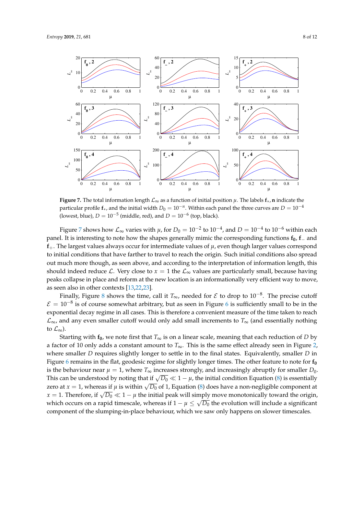

<span id="page-8-0"></span>

**Figure 7.** The total information length  $\mathcal{L}_{\infty}$  as a function of initial position  $\mu$ . The labels  $f_{*}$ , **n** indicate the particular profile  $\mathbf{f}_*$ , and the initial width  $D_0 = 10^{-n}$ . Within each panel the three curves are  $D = 10^{-4}$ (lowest, blue),  $D = 10^{-5}$  (middle, red), and  $D = 10^{-6}$  (top, black).

Figure [7](#page-8-0) shows how  $\mathcal{L}_{\infty}$  varies with  $\mu$ , for  $D_0=10^{-2}$  to  $10^{-4}$ , and  $D=10^{-4}$  to  $10^{-6}$  within each panel. It is interesting to note how the shapes generally mimic the corresponding functions **f0**, **f**− and  $f_{+}$ . The largest values always occur for intermediate values of  $\mu$ , even though larger values correspond to initial conditions that have farther to travel to reach the origin. Such initial conditions also spread out much more though, as seen above, and according to the interpretation of information length, this should indeed reduce L. Very close to  $x = 1$  the  $\mathcal{L}_{\infty}$  values are particularly small, because having peaks collapse in place and reform at the new location is an informationally very efficient way to move, as seen also in other contexts [\[13](#page-11-14)[,22,](#page-12-1)[23\]](#page-12-2).

Finally, Figure [8](#page-9-0) shows the time, call it  $T_{\infty}$ , needed for  $\mathcal E$  to drop to 10<sup>-8</sup>. The precise cutoff  $\mathcal{E} = 10^{-8}$  is of course somewhat arbitrary, but as seen in Figure [6](#page-7-1) is sufficiently small to be in the exponential decay regime in all cases. This is therefore a convenient measure of the time taken to reach  $\mathcal{L}_{\infty}$ , and any even smaller cutoff would only add small increments to  $T_{\infty}$  (and essentially nothing to  $\mathcal{L}_{\infty}$ ).

Starting with  $f_0$ , we note first that  $T_\infty$  is on a linear scale, meaning that each reduction of *D* by a factor of 10 only adds a constant amount to *T*∞. This is the same effect already seen in Figure [2,](#page-5-0) where smaller *D* requires slightly longer to settle in to the final states. Equivalently, smaller *D* in Figure [6](#page-7-1) remains in the flat, geodesic regime for slightly longer times. The other feature to note for **f<sup>0</sup>** is the behaviour near  $\mu = 1$ , where  $T_{\infty}$  increases strongly, and increasingly abruptly for smaller  $D_0$ . This can be understood by noting that if  $\sqrt{D_0} \ll 1 - \mu$ , the initial condition Equation [\(8\)](#page-4-0) is essentially *zero at*  $x = 1$ *, whereas if*  $\mu$  is within  $\sqrt{D_0}$  of 1, Equation [\(8\)](#page-4-0) does have a non-negligible component at  $x = 1$ . Therefore, if  $\sqrt{D_0} \ll 1 - \mu$  the initial peak will simply move monotonically toward the origin, which occurs on a rapid timescale, whereas if  $1-\mu \leq \sqrt{D_0}$  the evolution will include a significant component of the slumping-in-place behaviour, which we saw only happens on slower timescales.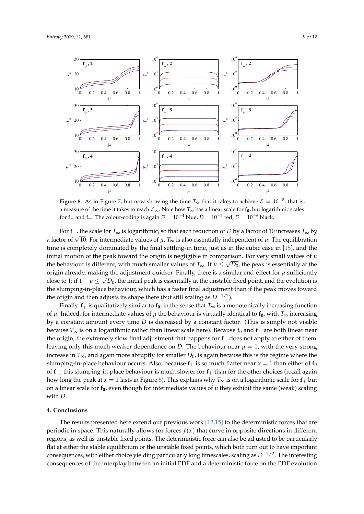<span id="page-9-0"></span>

**Figure 8.** As in Figure [7,](#page-8-0) but now showing the time  $T_{\infty}$  that it takes to achieve  $\mathcal{E} = 10^{-8}$ , that is, a measure of the time it takes to reach L∞. Note how *T*<sup>∞</sup> has a linear scale for **f0**, but logarithmic scales for **f**− and **f**<sub>+</sub>. The colour-coding is again  $D = 10^{-4}$  blue,  $D = 10^{-5}$  red,  $D = 10^{-6}$  black.

For **f**−, the scale for *T*∞ is logarithmic, so that each reduction of *D* by a factor of 10 increases *T*∞ by For  $1_{-}$ , the scale for  $T_{\infty}$  is logarithmic, so that each reduction of *D* by a factor of 10 increases  $T_{\infty}$  by a factor of  $\sqrt{10}$ . For intermediate values of  $\mu$ ,  $T_{\infty}$  is also essentially independent of time is completely dominated by the final settling-in time, just as in the cubic case in [\[15\]](#page-11-9), and the initial motion of the peak toward the origin is negligible in comparison. For very small values of *µ* √ the behaviour is different, with much smaller values of *T*<sub>∞</sub>. If  $\mu \leq \sqrt{D_0}$ , the peak is essentially at the origin already, making the adjustment quicker. Finally, there is a similar end-effect for  $\mu$  sufficiently close to 1; if  $1 - \mu \leq \sqrt{D_0}$ , the initial peak is essentially at the unstable fixed point, and the evolution is the slumping-in-place behaviour, which has a faster final adjustment than if the peak moves toward the origin and then adjusts its shape there (but still scaling as *D*−1/2).

Finally,  $f_{+}$  is qualitatively similar to  $f_0$ , in the sense that  $T_{\infty}$  is a monotonically increasing function of  $\mu$ . Indeed, for intermediate values of  $\mu$  the behaviour is virtually identical to  $f_0$ , with  $T_\infty$  increasing by a constant amount every time *D* is decreased by a constant factor. (This is simply not visible because  $T_{\infty}$  is on a logarithmic rather than linear scale here). Because  $f_0$  and  $f_+$  are both linear near the origin, the extremely slow final adjustment that happens for **f**− does not apply to either of them, leaving only this much weaker dependence on *D*. The behaviour near  $\mu = 1$ , with the very strong increase in  $T_{\infty}$ , and again more abruptly for smaller  $D_0$ , is again because this is the regime where the slumping-in-place behaviour occurs. Also, because  $f_+$  is so much flatter near  $x = 1$  than either of  $f_0$ of **f**−, this slumping-in-place behaviour is much slower for **f**+ than for the other choices (recall again how long the peak at *x* = 1 lasts in Figure [5\)](#page-7-0). This explains why  $T_{\infty}$  is on a logarithmic scale for  $f_{+}$  but on a linear scale for  $f_0$ , even though for intermediate values of  $\mu$  they exhibit the same (weak) scaling with *D*.

#### **4. Conclusions**

The results presented here extend our previous work [\[12,](#page-11-8)[15\]](#page-11-9) to the deterministic forces that are periodic in space. This naturally allows for forces  $f(x)$  that curve in opposite directions in different regions, as well as unstable fixed points. The deterministic force can also be adjusted to be particularly flat at either the stable equilibrium or the unstable fixed points, which both turn out to have important consequences, with either choice yielding particularly long timescales, scaling as *D*−1/2. The interesting consequences of the interplay between an initial PDF and a deterministic force on the PDF evolution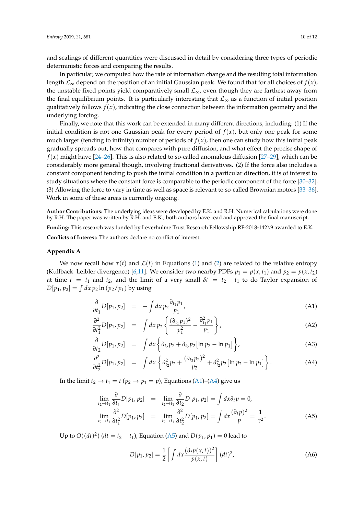and scalings of different quantities were discussed in detail by considering three types of periodic deterministic forces and comparing the results.

In particular, we computed how the rate of information change and the resulting total information length  $\mathcal{L}_{\infty}$  depend on the position of an initial Gaussian peak. We found that for all choices of  $f(x)$ , the unstable fixed points yield comparatively small  $\mathcal{L}_{\infty}$ , even though they are farthest away from the final equilibrium points. It is particularly interesting that  $\mathcal{L}_{\infty}$  as a function of initial position qualitatively follows  $f(x)$ , indicating the close connection between the information geometry and the underlying forcing.

Finally, we note that this work can be extended in many different directions, including: (1) If the initial condition is not one Gaussian peak for every period of  $f(x)$ , but only one peak for some much larger (tending to infinity) number of periods of  $f(x)$ , then one can study how this initial peak gradually spreads out, how that compares with pure diffusion, and what effect the precise shape of  $f(x)$  might have [\[24](#page-12-3)[–26\]](#page-12-4). This is also related to so-called anomalous diffusion [\[27–](#page-12-5)[29\]](#page-12-6), which can be considerably more general though, involving fractional derivatives. (2) If the force also includes a constant component tending to push the initial condition in a particular direction, it is of interest to study situations where the constant force is comparable to the periodic component of the force [\[30–](#page-12-7)[32\]](#page-12-8). (3) Allowing the force to vary in time as well as space is relevant to so-called Brownian motors [\[33–](#page-12-9)[36\]](#page-12-10). Work in some of these areas is currently ongoing.

**Author Contributions:** The underlying ideas were developed by E.K. and R.H. Numerical calculations were done by R.H. The paper was written by R.H. and E.K.; both authors have read and approved the final manuscript. **Funding:** This research was funded by Leverhulme Trust Research Fellowship RF-2018-142\9 awarded to E.K.

**Conflicts of Interest:** The authors declare no conflict of interest.

#### <span id="page-10-0"></span>**Appendix A**

We now recall how  $\tau(t)$  and  $\mathcal{L}(t)$  in Equations [\(1\)](#page-2-0) and [\(2\)](#page-2-1) are related to the relative entropy (Kullback–Leibler divergence) [\[6,](#page-11-1)[11\]](#page-11-15). We consider two nearby PDFs  $p_1 = p(x, t_1)$  and  $p_2 = p(x, t_2)$ at time  $t = t_1$  and  $t_2$ , and the limit of a very small  $\delta t = t_2 - t_1$  to do Taylor expansion of  $D[p_1, p_2] = \int dx \, p_2 \ln (p_2/p_1)$  by using

<span id="page-10-1"></span>
$$
\frac{\partial}{\partial t_1} D[p_1, p_2] = - \int dx \, p_2 \frac{\partial_{t_1} p_1}{p_1}, \tag{A1}
$$

$$
\frac{\partial^2}{\partial t_1^2} D[p_1, p_2] = \int dx \, p_2 \left\{ \frac{(\partial_{t_1} p_1)^2}{p_1^2} - \frac{\partial_{t_1}^2 p_1}{p_1} \right\},\tag{A2}
$$

$$
\frac{\partial}{\partial t_2} D[p_1, p_2] = \int dx \left\{ \partial_{t_2} p_2 + \partial_{t_2} p_2 \left[ \ln p_2 - \ln p_1 \right] \right\}, \tag{A3}
$$

$$
\frac{\partial^2}{\partial t_2^2} D[p_1, p_2] = \int dx \left\{ \frac{\partial_{t_2}^2 p_2 + \frac{(\partial_{t_2} p_2)^2}{p_2} + \frac{\partial_{t_2}^2 p_2}{\partial t_2} [ \ln p_2 - \ln p_1 ] \right\}.
$$
 (A4)

In the limit  $t_2 \rightarrow t_1 = t$  ( $p_2 \rightarrow p_1 = p$ ), Equations [\(A1\)](#page-10-1)–[\(A4\)](#page-10-1) give us

<span id="page-10-2"></span>
$$
\lim_{t_2 \to t_1} \frac{\partial}{\partial t_1} D[p_1, p_2] = \lim_{t_2 \to t_1} \frac{\partial}{\partial t_2} D[p_1, p_2] = \int dx \partial_t p = 0,
$$
\n
$$
\lim_{t_2 \to t_1} \frac{\partial^2}{\partial t_1^2} D[p_1, p_2] = \lim_{t_2 \to t_1} \frac{\partial^2}{\partial t_2^2} D[p_1, p_2] = \int dx \frac{(\partial_t p)^2}{p} = \frac{1}{\tau^2}.
$$
\n(A5)

Up to  $O((dt)^2)$  ( $dt = t_2 - t_1$ ), Equation [\(A5\)](#page-10-2) and  $D(p_1, p_1) = 0$  lead to

$$
D[p_1, p_2] = \frac{1}{2} \left[ \int dx \frac{(\partial_t p(x, t))^2}{p(x, t)} \right] (dt)^2,
$$
 (A6)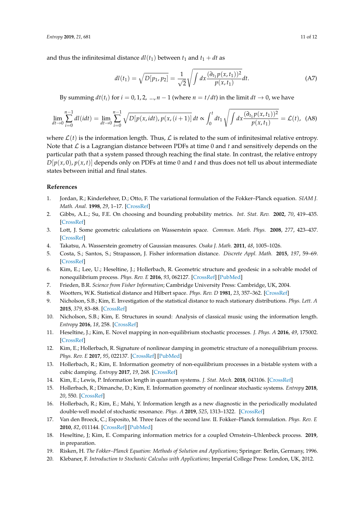and thus the infinitesimal distance  $dl(t_1)$  between  $t_1$  and  $t_1 + dt$  as

$$
dl(t_1) = \sqrt{D[p_1, p_2]} = \frac{1}{\sqrt{2}} \sqrt{\int dx \frac{(\partial_{t_1} p(x, t_1))^2}{p(x, t_1)}} dt.
$$
 (A7)

By summing  $dt(t_i)$  for  $i = 0, 1, 2, ..., n - 1$  (where  $n = t/dt$ ) in the limit  $dt \rightarrow 0$ , we have

$$
\lim_{dt \to 0} \sum_{i=0}^{n-1} dl(idt) = \lim_{dt \to 0} \sum_{i=0}^{n-1} \sqrt{D[p(x, idt), p(x, (i+1)]} dt \propto \int_0^t dt_1 \sqrt{\int dx \frac{(\partial_{t_1} p(x, t_1))^2}{p(x, t_1)}} = \mathcal{L}(t), \tag{A8}
$$

where  $\mathcal{L}(t)$  is the information length. Thus,  $\mathcal{L}$  is related to the sum of infinitesimal relative entropy. Note that  $\mathcal L$  is a Lagrangian distance between PDFs at time 0 and t and sensitively depends on the particular path that a system passed through reaching the final state. In contrast, the relative entropy  $D[p(x, 0), p(x, t)]$  depends only on PDFs at time 0 and *t* and thus does not tell us about intermediate states between initial and final states.

#### **References**

- <span id="page-11-0"></span>1. Jordan, R.; Kinderlehrer, D.; Otto, F. The variational formulation of the Fokker–Planck equation. *SIAM J. Math. Anal.* **1998**, *29*, 1–17. [\[CrossRef\]](http://dx.doi.org/10.1137/S0036141096303359)
- 2. Gibbs, A.L.; Su, F.E. On choosing and bounding probability metrics. *Int. Stat. Rev.* **2002**, *70*, 419–435. [\[CrossRef\]](http://dx.doi.org/10.1111/j.1751-5823.2002.tb00178.x)
- 3. Lott, J. Some geometric calculations on Wasserstein space. *Commun. Math. Phys.* **2008**, *277*, 423–437. [\[CrossRef\]](http://dx.doi.org/10.1007/s00220-007-0367-3)
- 4. Takatsu, A. Wasserstein geometry of Gaussian measures. *Osaka J. Math.* **2011**, *48*, 1005–1026.
- 5. Costa, S.; Santos, S.; Strapasson, J. Fisher information distance. *Discrete Appl. Math.* **2015**, *197*, 59–69. [\[CrossRef\]](http://dx.doi.org/10.1016/j.dam.2014.10.004)
- <span id="page-11-1"></span>6. Kim, E.; Lee, U.; Heseltine, J.; Hollerbach, R. Geometric structure and geodesic in a solvable model of nonequilibrium process. *Phys. Rev. E* **2016**, *93*, 062127. [\[CrossRef\]](http://dx.doi.org/10.1103/PhysRevE.93.062127) [\[PubMed\]](http://www.ncbi.nlm.nih.gov/pubmed/27415228)
- <span id="page-11-2"></span>7. Frieden, B.R. *Science from Fisher Information*; Cambridge University Press: Cambridge, UK, 2004.
- <span id="page-11-3"></span>8. Wootters, W.K. Statistical distance and Hilbert space. *Phys. Rev. D* **1981**, *23*, 357–362. [\[CrossRef\]](http://dx.doi.org/10.1103/PhysRevD.23.357)
- <span id="page-11-4"></span>9. Nicholson, S.B.; Kim, E. Investigation of the statistical distance to reach stationary distributions. *Phys. Lett. A* **2015**, *379*, 83–88. [\[CrossRef\]](http://dx.doi.org/10.1016/j.physleta.2014.11.003)
- <span id="page-11-7"></span>10. Nicholson, S.B.; Kim, E. Structures in sound: Analysis of classical music using the information length. *Entropy* **2016**, *18*, 258. [\[CrossRef\]](http://dx.doi.org/10.3390/e18070258)
- <span id="page-11-15"></span>11. Heseltine, J.; Kim, E. Novel mapping in non-equilibrium stochastic processes. *J. Phys. A* **2016**, *49*, 175002. [\[CrossRef\]](http://dx.doi.org/10.1088/1751-8113/49/17/175002)
- <span id="page-11-8"></span>12. Kim, E.; Hollerbach, R. Signature of nonlinear damping in geometric structure of a nonequilibrium process. *Phys. Rev. E* **2017**, *95*, 022137. [\[CrossRef\]](http://dx.doi.org/10.1103/PhysRevE.95.022137) [\[PubMed\]](http://www.ncbi.nlm.nih.gov/pubmed/28297923)
- <span id="page-11-14"></span>13. Hollerbach, R.; Kim, E. Information geometry of non-equilibrium processes in a bistable system with a cubic damping. *Entropy* **2017**, *19*, 268. [\[CrossRef\]](http://dx.doi.org/10.3390/e19060268)
- <span id="page-11-6"></span>14. Kim, E.; Lewis, P. Information length in quantum systems. *J. Stat. Mech.* **2018**, 043106. [\[CrossRef\]](http://dx.doi.org/10.1088/1742-5468/aabbbe)
- <span id="page-11-9"></span>15. Hollerbach, R.; Dimanche, D.; Kim, E. Information geometry of nonlinear stochastic systems. *Entropy* **2018**, *20*, 550. [\[CrossRef\]](http://dx.doi.org/10.3390/e20080550)
- <span id="page-11-5"></span>16. Hollerbach, R.; Kim, E.; Mahi, Y. Information length as a new diagnostic in the periodically modulated double-well model of stochastic resonance. *Phys. A* **2019**, *525*, 1313–1322. [\[CrossRef\]](http://dx.doi.org/10.1016/j.physa.2019.04.074)
- <span id="page-11-10"></span>17. Van den Broeck, C.; Esposito, M. Three faces of the second law. II. Fokker–Planck formulation. *Phys. Rev. E* **2010**, *82*, 011144. [\[CrossRef\]](http://dx.doi.org/10.1103/PhysRevE.82.011144) [\[PubMed\]](http://www.ncbi.nlm.nih.gov/pubmed/20866602)
- <span id="page-11-11"></span>18. Heseltine, J; Kim, E. Comparing information metrics for a coupled Ornstein–Uhlenbeck process. **2019**, in preparation.
- <span id="page-11-12"></span>19. Risken, H. *The Fokker–Planck Equation: Methods of Solution and Applications*; Springer: Berlin, Germany, 1996.
- <span id="page-11-13"></span>20. Klebaner, F. *Introduction to Stochastic Calculus with Applications*; Imperial College Press: London, UK, 2012.